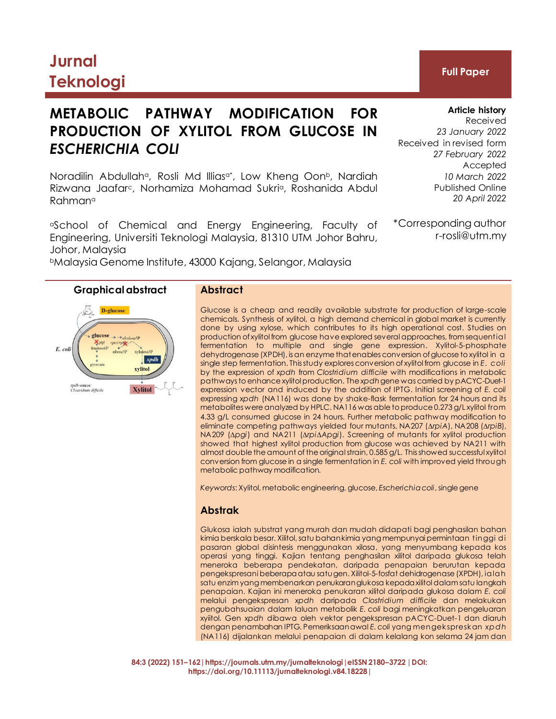# **Jurnal Teknologi Full Paper**

## **METABOLIC PATHWAY MODIFICATION FOR PRODUCTION OF XYLITOL FROM GLUCOSE IN** *ESCHERICHIA COLI*

Noradilin Abdullah<sup>a</sup>, Rosli Md Illias<sup>a\*</sup>, Low Kheng Oon<sup>b</sup>, Nardiah Rizwana Jaafarc, Norhamiza Mohamad Sukria, Roshanida Abdul Rahman<sup>a</sup>

<sup>a</sup>School of Chemical and Energy Engineering, Faculty of Engineering, Universiti Teknologi Malaysia, 81310 UTM Johor Bahru, Johor, Malaysia

<sup>b</sup>Malaysia Genome Institute, 43000 Kajang, Selangor, Malaysia



Glucose is a cheap and readily available substrate for production of large-scale chemicals. Synthesis of xylitol, a high demand chemical in global market is currently done by using xylose, which contributes to its high operational cost. Studies on production of xylitol from glucose have explored several approaches, from sequential fermentation to multiple and single gene expression. Xylitol-5-phosphate dehydrogenase (XPDH), is an enzyme that enables conversion of glucose to xylitol in a single step fermentation. This study explores conversion of xylitol from glucose in *E. coli*  by the expression of *xpdh* from *Clostridium difficile* with modifications in metabolic pathways to enhance xylitol production. The *xpdh* gene was carried by pACYC-Duet-1 expression vector and induced by the addition of IPTG. Initial screening of *E. coli*  expressing *xpdh* (NA116) was done by shake-flask fermentation for 24 hours and its metabolites were analyzed by HPLC. NA116 was able to produce 0.273 g/L xylitol from 4.33 g/L consumed glucose in 24 hours. Further metabolic pathway modification to eliminate competing pathways yielded four mutants, NA207 (*∆rpiA*), NA208 (*∆rpiB*), NA209 (*∆pgi*) and NA211 (*∆rpi∆Apgi*). Screening of mutants for xylitol production showed that highest xylitol production from glucose was achieved by NA211 with almost double the amount of the original strain, 0.585 g/L. This showed successful xylitol conversion from glucose in a single fermentation in *E. coli* with improved yield through metabolic pathway modification.

*Keywords*: Xylitol, metabolic engineering, glucose, *Escherichia coli*, single gene

#### **Abstrak**

Glukosa ialah substrat yang murah dan mudah didapati bagi penghasilan bahan kimia berskala besar. Xilitol, satu bahan kimia yang mempunyai permintaan tinggi di pasaran global disintesis menggunakan xilosa, yang menyumbang kepada kos operasi yang tinggi. Kajian tentang penghasilan xilitol daripada glukosa telah meneroka beberapa pendekatan, daripada penapaian berurutan kepada pengekspresani beberapa atau satu gen. Xilitol-5-fosfat dehidrogenase (XPDH), ialah satu enzim yang membenarkan penukaran glukosa kepada xilitol dalam satu langkah penapaian. Kajian ini meneroka penukaran xilitol daripada glukosa dalam *E. coli* melalui pengekspresan *xpdh* daripada *Clostridium difficile* dan melakukan pengubahsuaian dalam laluan metabolik *E. coli* bagi meningkatkan pengeluaran xyiitol. Gen *xpdh* dibawa oleh vektor pengekspresan pACYC-Duet-1 dan diaruh dengan penambahan IPTG. Pemeriksaan awal *E. coli* yang mengekspreskan *xpdh* (NA116) dijalankan melalui penapaian di dalam kelalang kon selama 24 jam dan

**84:3 (2022) 151–162|https://journals.utm.my/jurnalteknologi|eISSN 2180–3722 |DOI: https://doi.org/10.11113/jurnalteknologi.v84.18228|**

#### **Article history**

Received *23 January 2022* Received in revised form *27 February 2022* Accepted *10 March 2022* Published Online *20 April 2022*

\*Corresponding author r-rosli@utm.my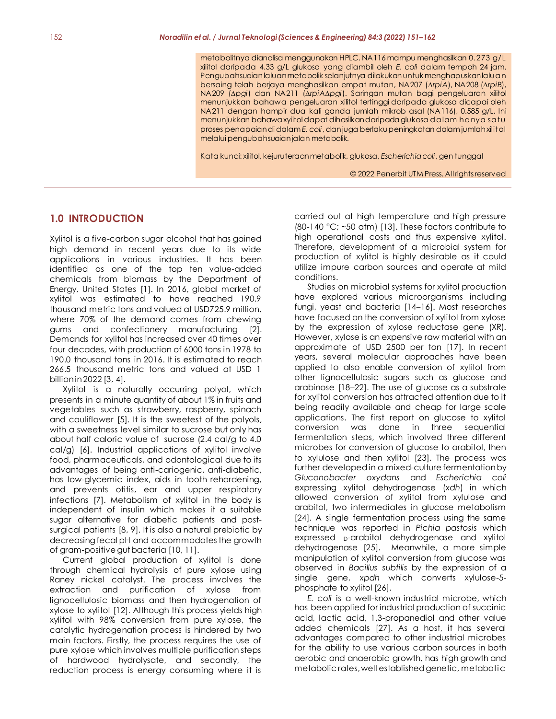metabolitnya dianalisa menggunakan HPLC. NA116 mampu menghasilkan 0.273 g/L xilitol daripada 4.33 g/L glukosa yang diambil oleh *E. coli* dalam tempoh 24 jam. Pengubahsuaian laluan metabolik selanjutnya dilakukan untuk menghapuskan laluan bersaing telah berjaya menghasilkan empat mutan, NA207 (∆*rpiA*), NA208 (∆*rpiB*), NA209 (∆*pgi*) dan NA211 (∆*rpiA*∆*pgi*). Saringan mutan bagi pengeluaran xilitol menunjukkan bahawa pengeluaran xilitol tertinggi daripada glukosa dicapai oleh NA211 dengan hampir dua kali ganda jumlah mikrob asal (NA116), 0.585 g/L. Ini menunjukkan bahawa xyiitol dapat dihasilkan daripada glukosa dalam hanya satu proses penapaian di dalam *E. coli*, dan juga berlakupeningkatan dalam jumlah xilitol melalui pengubahsuaian jalan metabolik.

Kata kunci: xilitol, kejuruteraan metabolik, glukosa, *Escherichia coli*, gen tunggal

© 2022 Penerbit UTM Press. All rights reserved

#### **1.0 INTRODUCTION**

Xylitol is a five-carbon sugar alcohol that has gained high demand in recent years due to its wide applications in various industries. It has been identified as one of the top ten value-added chemicals from biomass by the Department of Energy, United States [1]. In 2016, global market of xylitol was estimated to have reached 190.9 thousand metric tons and valued at USD725.9 million, where 70% of the demand comes from chewing gums and confectionery manufacturing [2]. Demands for xylitol has increased over 40 times over four decades, with production of 6000 tons in 1978 to 190.0 thousand tons in 2016. It is estimated to reach 266.5 thousand metric tons and valued at USD 1 billion in 2022 [3, 4].

Xylitol is a naturally occurring polyol, which presents in a minute quantity of about 1% in fruits and vegetables such as strawberry, raspberry, spinach and cauliflower [5]. It is the sweetest of the polyols, with a sweetness level similar to sucrose but only has about half caloric value of sucrose (2.4 cal/g to 4.0 cal/g) [6]. Industrial applications of xylitol involve food, pharmaceuticals, and odontological due to its advantages of being anti-cariogenic, anti-diabetic, has low-glycemic index, aids in tooth rehardening, and prevents otitis, ear and upper respiratory infections [7]. Metabolism of xylitol in the body is independent of insulin which makes it a suitable sugar alternative for diabetic patients and postsurgical patients [8, 9]. It is also a natural prebiotic by decreasing fecal pH and accommodates the growth of gram-positive gut bacteria [10, 11].

Current global production of xylitol is done through chemical hydrolysis of pure xylose using Raney nickel catalyst. The process involves the extraction and purification of xylose from lignocellulosic biomass and then hydrogenation of xylose to xylitol [12]. Although this process yields high xylitol with 98% conversion from pure xylose, the catalytic hydrogenation process is hindered by two main factors. Firstly, the process requires the use of pure xylose which involves multiple purification steps of hardwood hydrolysate, and secondly, the reduction process is energy consuming where it is carried out at high temperature and high pressure (80-140 °C; ~50 atm) [13]. These factors contribute to high operational costs and thus expensive xylitol. Therefore, development of a microbial system for production of xylitol is highly desirable as it could utilize impure carbon sources and operate at mild conditions.

Studies on microbial systems for xylitol production have explored various microorganisms including fungi, yeast and bacteria [14–16]. Most researches have focused on the conversion of xylitol from xylose by the expression of xylose reductase gene (XR). However, xylose is an expensive raw material with an approximate of USD 2500 per ton [17]. In recent years, several molecular approaches have been applied to also enable conversion of xylitol from other lignocellulosic sugars such as glucose and arabinose [18–22]. The use of glucose as a substrate for xylitol conversion has attracted attention due to it being readily available and cheap for large scale applications. The first report on glucose to xylitol conversion was done in three sequential fermentation steps, which involved three different microbes for conversion of glucose to arabitol, then to xylulose and then xylitol [23]. The process was further developed in a mixed-culture fermentation by *Gluconobacter oxydans* and *Escherichia coli*  expressing xylitol dehydrogenase (*xdh*) in which allowed conversion of xylitol from xylulose and arabitol, two intermediates in glucose metabolism [24]. A single fermentation process using the same technique was reported in *Pichia pastosis* which expressed <sub>D</sub>-arabitol dehydrogenase and xylitol dehydrogenase [25]. Meanwhile, a more simple manipulation of xylitol conversion from glucose was observed in *Bacillus subtilis* by the expression of a single gene, *xpdh* which converts xylulose-5 phosphate to xylitol [26].

*E. coli* is a well-known industrial microbe, which has been applied for industrial production of succinic acid, lactic acid, 1,3-propanediol and other value added chemicals [27]. As a host, it has several advantages compared to other industrial microbes for the ability to use various carbon sources in both aerobic and anaerobic growth, has high growth and metabolic rates, well established genetic, metabolic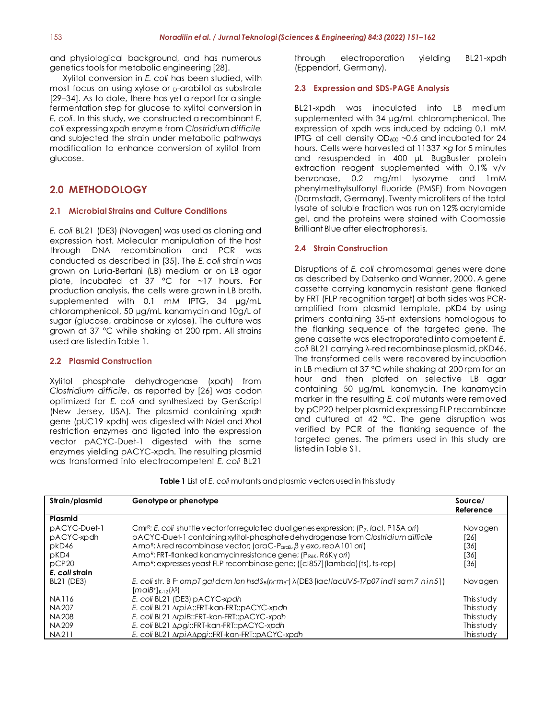and physiological background, and has numerous genetics tools for metabolic engineering [28].

Xylitol conversion in *E. coli* has been studied, with most focus on using xylose or  $<sub>D</sub>$ -arabitol as substrate</sub> [29–34]. As to date, there has yet a report for a single fermentation step for glucose to xylitol conversion in *E. coli*. In this study, we constructed a recombinant *E. coli* expressing *xpdh* enzyme from *Clostridium difficile*  and subjected the strain under metabolic pathways modification to enhance conversion of xylitol from glucose.

### **2.0 METHODOLOGY**

#### **2.1 Microbial Strains and Culture Conditions**

*E. coli* BL21 (DE3) (Novagen) was used as cloning and expression host. Molecular manipulation of the host through DNA recombination and PCR was conducted as described in [35]. The *E. coli* strain was grown on Luria-Bertani (LB) medium or on LB agar plate, incubated at 37 °C for ~17 hours. For production analysis, the cells were grown in LB broth, supplemented with 0.1 mM IPTG, 34 µg/mL chloramphenicol, 50 µg/mL kanamycin and 10g/L of sugar (glucose, arabinose or xylose). The culture was grown at 37 °C while shaking at 200 rpm. All strains used are listed in Table 1.

#### **2.2 Plasmid Construction**

Xylitol phosphate dehydrogenase (*xpdh*) from *Clostridium difficile*, as reported by [26] was codon optimized for *E. coli* and synthesized by GenScript (New Jersey, USA). The plasmid containing xpdh gene (pUC19-xpdh) was digested with *Nde*I and *Xho*I restriction enzymes and ligated into the expression vector pACYC-Duet-1 digested with the same enzymes yielding pACYC-xpdh. The resulting plasmid was transformed into electrocompetent *E. coli* BL21

through electroporation yielding BL21-xpdh (Eppendorf, Germany).

#### **2.3 Expression and SDS-PAGE Analysis**

BL21-xpdh was inoculated into LB medium supplemented with 34 µg/mL chloramphenicol. The expression of xpdh was induced by adding 0.1 mM IPTG at cell density  $OD_{600}$  ~0.6 and incubated for 24 hours. Cells were harvested at 11337 ×*g* for 5 minutes and resuspended in 400 µL BugBuster protein extraction reagent supplemented with 0.1% v/v benzonase, 0.2 mg/ml lysozyme and 1mM phenylmethylsulfonyl fluoride (PMSF) from Novagen (Darmstadt, Germany). Twenty microliters of the total lysate of soluble fraction was run on 12% acrylamide gel, and the proteins were stained with Coomassie Brilliant Blue after electrophoresis.

#### **2.4 Strain Construction**

Disruptions of *E. coli* chromosomal genes were done as described by Datsenko and Wanner, 2000. A gene cassette carrying kanamycin resistant gene flanked by FRT (FLP recognition target) at both sides was PCRamplified from plasmid template, pKD4 by using primers containing 35-nt extensions homologous to the flanking sequence of the targeted gene. The gene cassette was electroporated into competent *E. coli* BL21 carrying λ-red recombinase plasmid, pKD46. The transformed cells were recovered by incubation in LB medium at 37 °C while shaking at 200 rpm for an hour and then plated on selective LB agar containing 50 µg/mL kanamycin. The kanamycin marker in the resulting *E. coli* mutants were removed by pCP20 helper plasmid expressing FLP recombinase and cultured at 42 °C. The gene disruption was verified by PCR of the flanking sequence of the targeted genes. The primers used in this study are listed in Table S1.

| <b>Table 1</b> List of E. coli mutants and plasmid vectors used in this study |  |
|-------------------------------------------------------------------------------|--|
|-------------------------------------------------------------------------------|--|

| Strain/plasmid    | Genotype or phenotype                                                                                                                               | Source/<br>Reference |
|-------------------|-----------------------------------------------------------------------------------------------------------------------------------------------------|----------------------|
| Plasmid           |                                                                                                                                                     |                      |
| pACYC-Duet-1      | Cmr <sup>R</sup> ; E. coli shuttle vector for requiated dual genes expression; $(P_7,$ lacl, P15A ori)                                              | Novagen              |
| pACYC-xpdh        | pACYC-Duet-1 containing xylitol-phosphate dehydrogenase from Clostridium difficile                                                                  | [26]                 |
| pkD46             | Amp <sup>R</sup> ; $\lambda$ red recombinase vector; (araC-P <sub>araB</sub> , $\beta$ y exo, rep A 101 ori)                                        | [36]                 |
| pKD4              | Amp <sup>R</sup> ; FRT-flanked kanamycinresistance gene; (P <sub>R6K</sub> , R6Ky ori)                                                              | [36]                 |
| pCP <sub>20</sub> | Amp <sup>R</sup> ; expresses yeast FLP recombinase gene; ((cl857)(lambda)(ts), ts-rep)                                                              | [36]                 |
| E. coli strain    |                                                                                                                                                     |                      |
| BL21 (DE3)        | E. coli str. B F-ompT galdem lon hsd $S_B(r_B\text{-}m_B\text{-})$ $\lambda$ (DE3 [lacl lacUV5-T7p07 ind1 sam7 nin5])<br>$[maIB+]_{K-12}(\lambdaS)$ | Novagen              |
| <b>NA116</b>      | E. coli BL21 (DE3) pACYC-xpdh                                                                                                                       | This study           |
| NA207             | E. coli BL21 ArpiA::FRT-kan-FRT::pACYC-xpdh                                                                                                         | This study           |
| <b>NA208</b>      | E. coli BL21 ArpiB::FRT-kan-FRT::pACYC-xpdh                                                                                                         | This study           |
| <b>NA209</b>      | E. coli BL21 Apgi::FRT-kan-FRT::pACYC-xpdh                                                                                                          | This study           |
| <b>NA211</b>      | E. coli BL21 ArpiAApgi::FRT-kan-FRT::pACYC-xpdh                                                                                                     | This study           |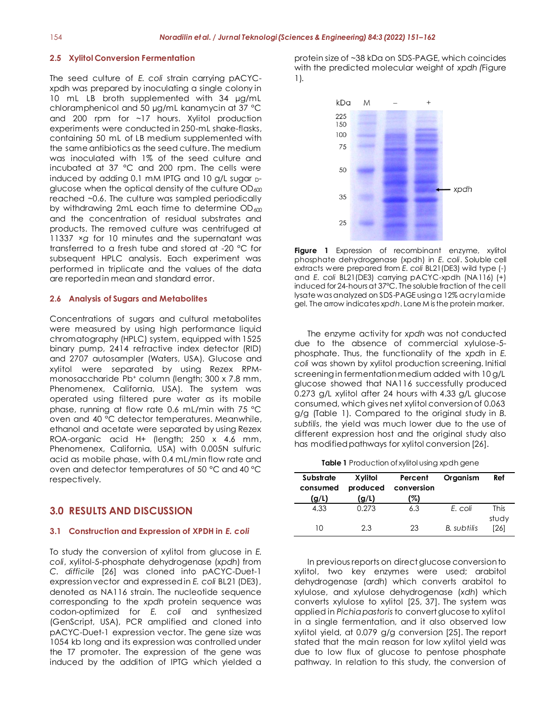#### **2.5 Xylitol Conversion Fermentation**

The seed culture of *E. coli* strain carrying pACYCxpdh was prepared by inoculating a single colony in 10 mL LB broth supplemented with 34 µg/mL chloramphenicol and 50 µg/mL kanamycin at 37 °C and 200 rpm for ~17 hours. Xylitol production experiments were conducted in 250-mL shake-flasks, containing 50 mL of LB medium supplemented with the same antibiotics as the seed culture. The medium was inoculated with 1% of the seed culture and incubated at 37 °C and 200 rpm. The cells were induced by adding 0.1 mM IPTG and 10 g/L sugar Dglucose when the optical density of the culture  $OD_{600}$ reached ~0.6. The culture was sampled periodically by withdrawing 2mL each time to determine  $OD_{600}$ and the concentration of residual substrates and products. The removed culture was centrifuged at 11337 ×*g* for 10 minutes and the supernatant was transferred to a fresh tube and stored at -20 °C for subsequent HPLC analysis. Each experiment was performed in triplicate and the values of the data are reported in mean and standard error.

#### **2.6 Analysis of Sugars and Metabolites**

Concentrations of sugars and cultural metabolites were measured by using high performance liquid chromatography (HPLC) system, equipped with 1525 binary pump, 2414 refractive index detector (RID) and 2707 autosampler (Waters, USA). Glucose and xylitol were separated by using Rezex RPMmonosaccharide Pb<sup>+</sup> column (length; 300 x 7.8 mm, Phenomenex, California, USA). The system was operated using filtered pure water as its mobile phase, running at flow rate 0.6 mL/min with 75 °C oven and 40 °C detector temperatures. Meanwhile, ethanol and acetate were separated by using Rezex ROA-organic acid H+ (length; 250 x 4.6 mm, Phenomenex, California, USA) with 0.005N sulfuric acid as mobile phase, with 0.4 mL/min flow rate and oven and detector temperatures of 50 °C and 40 °C respectively.

#### **3.0 RESULTS AND DISCUSSION**

#### **3.1 Construction and Expression of XPDH in** *E. coli*

To study the conversion of xylitol from glucose in *E. coli*, xylitol-5-phosphate dehydrogenase (*xpdh*) from *C. difficile* [26] was cloned into pACYC-Duet-1 expression vector and expressed in *E. coli* BL21 (DE3), denoted as NA116 strain. The nucleotide sequence corresponding to the *xpdh* protein sequence was codon-optimized for *E. coli* and synthesized (GenScript, USA), PCR amplified and cloned into pACYC-Duet-1 expression vector. The gene size was 1054 kb long and its expression was controlled under the T7 promoter. The expression of the gene was induced by the addition of IPTG which yielded a protein size of ~38 kDa on SDS-PAGE, which coincides with the predicted molecular weight of *xpdh (*Figure 1)*.*



**Figure 1** Expression of recombinant enzyme, xylitol phosphate dehydrogenase (xpdh) in *E. coli*. Soluble cell extracts were prepared from *E. coli* BL21(DE3) wild type (-) and *E. coli* BL21(DE3) carrying pACYC-xpdh (NA116) (+) induced for 24-hours at 37°C. The soluble fraction of the cell lysate was analyzed on SDS-PAGE using a 12% acrylamide gel. The arrow indicates *xpdh*. Lane M is the protein marker.

The enzyme activity for *xpdh* was not conducted due to the absence of commercial xylulose-5 phosphate. Thus, the functionality of the *xpdh* in *E. coli* was shown by xylitol production screening. Initial screening in fermentation medium added with 10 g/L glucose showed that NA116 successfully produced 0.273 g/L xylitol after 24 hours with 4.33 g/L glucose consumed, which gives net xylitol conversion of 0.063 g/g (Table 1). Compared to the original study in *B. subtilis*, the yield was much lower due to the use of different expression host and the original study also has modified pathways for xylitol conversion [26].

|  |  |  |  | <b>Table 1</b> Production of xylitol using xpdh gene |
|--|--|--|--|------------------------------------------------------|
|--|--|--|--|------------------------------------------------------|

| Substrate<br>consumed<br>(g/L) | Xylitol<br>produced<br>(g/L) | Percent<br>conversion<br>(%) | Organism    | Ref                  |
|--------------------------------|------------------------------|------------------------------|-------------|----------------------|
| 4.33                           | 0.273                        | 6.3                          | E. coli     | <b>This</b><br>study |
| 10                             | 2.3                          | 23                           | B. subtilis | [26]                 |

In previous reports on direct glucose conversion to xylitol, two key enzymes were used; arabitol dehydrogenase (a*rdh*) which converts arabitol to xylulose, and xylulose dehydrogenase (*xdh*) which converts xylulose to xylitol [25, 37]. The system was applied in *Pichia pastoris* to convert glucose to xylitol in a single fermentation, and it also observed low xylitol yield, at 0.079 g/g conversion [25]. The report stated that the main reason for low xylitol yield was due to low flux of glucose to pentose phosphate pathway. In relation to this study, the conversion of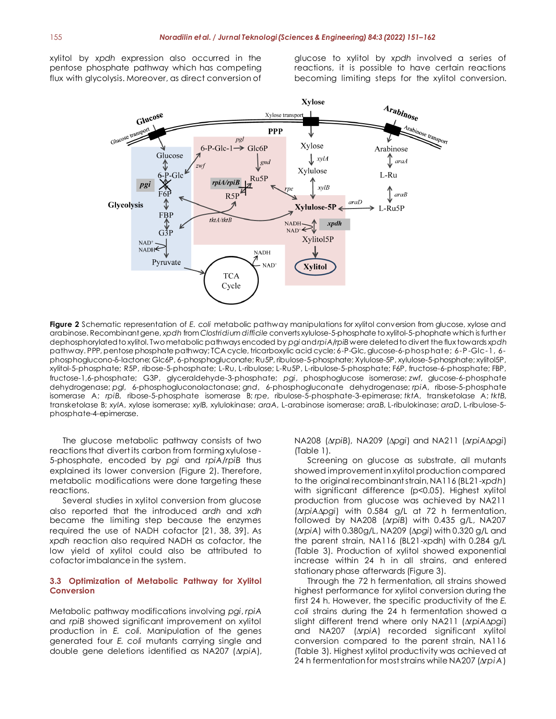xylitol by *xpdh* expression also occurred in the pentose phosphate pathway which has competing flux with glycolysis. Moreover, as direct conversion of

glucose to xylitol by *xpdh* involved a series of reactions, it is possible to have certain reactions becoming limiting steps for the xylitol conversion.



**Figure 2** Schematic representation of *E. coli* metabolic pathway manipulations for xylitol conversion from glucose, xylose and arabinose. Recombinant gene, *xpdh* from *Clostridium difficile* converts xylulose-5-phosphate to xylitol-5-phophate which is further dephosphorylated to xylitol. Two metabolic pathways encoded by *pgi* and *rpiA/rpiB* were deleted to divert the flux towards *xpdh* pathway. PPP, pentose phosphate pathway; TCA cycle, tricarboxylic acid cycle; 6-P-Glc, glucose-6-phosphate; 6-P-Glc-1, 6 phosphoglucono-δ-lactone; Glc6P, 6-phosphogluconate; Ru5P, ribulose-5-phosphate; Xylulose-5P, xylulose-5-phosphate; xylitol5P, xylitol-5-phosphate; R5P, ribose-5-phosphate; L-Ru, L-ribulose; L-Ru5P, L-ribulose-5-phosphate; F6P, fructose-6-phosphate; FBP, fructose-1,6-phosphate; G3P, glyceraldehyde-3-phosphate; *pgi*, phosphoglucose isomerase; *zwf*, glucose-6-phosphate dehydrogenase; *pgl*, 6-phosphogluconolactonase; *gnd*, 6-phosphogluconate dehydrogenase; *rpiA*, ribose-5-phosphate isomerase A; *rpiB*, ribose-5-phosphate isomerase B; *rpe*, ribulose-5-phosphate-3-epimerase; *tktA*, transketolase A; *tktB*, transketolase B; *xylA*, xylose isomerase; *xylB*, xylulokinase; *araA*, L-arabinose isomerase; *araB*, L-ribulokinase; *araD*, L-ribulose-5 phosphate-4-epimerase.

The glucose metabolic pathway consists of two reactions that divert its carbon from forming xylulose-5-phosphate, encoded by *pgi* and *rpiA*/*rpiB* thus explained its lower conversion (Figure 2). Therefore, metabolic modifications were done targeting these reactions.

Several studies in xylitol conversion from glucose also reported that the introduced *ardh* and *xdh* became the limiting step because the enzymes required the use of NADH cofactor [21, 38, 39]. As *xpdh* reaction also required NADH as cofactor, the low yield of xylitol could also be attributed to cofactor imbalance in the system.

#### **3.3 Optimization of Metabolic Pathway for Xylitol Conversion**

Metabolic pathway modifications involving *pgi*, *rpiA* and *rpiB* showed significant improvement on xylitol production in *E. coli.* Manipulation of the genes generated four *E. coli* mutants carrying single and double gene deletions identified as NA207 (*∆rpiA*), NA208 (*∆rpiB*), NA209 (*∆pgi*) and NA211 (*∆rpiA∆pgi*) (Table 1).

Screening on glucose as substrate, all mutants showed improvement in xylitol production compared to the original recombinant strain, NA116 (BL21-*xpdh*) with significant difference (p<0.05). Highest xylitol production from glucose was achieved by NA211 (*∆rpiA∆pgi*) with 0.584 g/L at 72 h fermentation, followed by NA208 (∆*rpiB*) with 0.435 g/L, NA207 (∆*rpiA*) with 0.380g/L, NA209 (∆*pgi*) with 0.320 g/L and the parent strain, NA116 (BL21-xpdh) with 0.284 g/L (Table 3). Production of xylitol showed exponential increase within 24 h in all strains, and entered stationary phase afterwards (Figure 3).

Through the 72 h fermentation, all strains showed highest performance for xylitol conversion during the first 24 h. However, the specific productivity of the *E. coli* strains during the 24 h fermentation showed a slight different trend where only NA211 (*∆rpiA∆pgi*) and NA207 (*∆rpiA*) recorded significant xylitol conversion compared to the parent strain, NA116 (Table 3). Highest xylitol productivity was achieved at 24 h fermentation for most strains while NA207 (*∆rpiA*)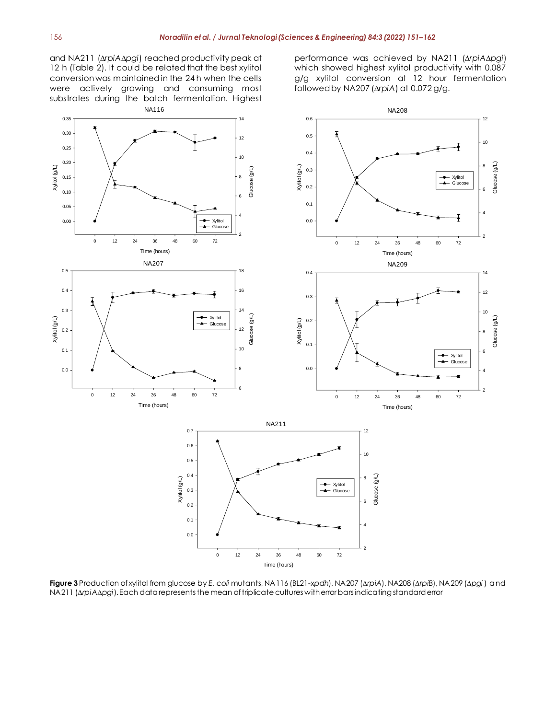and NA211 (*∆rpiA∆pgi*) reached productivity peak at 12 h (Table 2). It could be related that the best xylitol conversion was maintained in the 24 h when the cells were actively growing and consuming most substrates during the batch fermentation. Highest NA116

performance was achieved by NA211 (*∆rpiA∆pgi*) which showed highest xylitol productivity with 0.087 g/g xylitol conversion at 12 hour fermentation followed by NA207 (*∆rpiA*) at 0.072 g/g.



**Figure 3** Production of xylitol from glucose by *E. coli* mutants, NA116 (BL21-*xpdh*), NA207 (*∆rpiA*), NA208 (*∆rpiB*), NA209 (*∆pgi*) and NA211 (*∆rpiA∆pgi*). Each data represents the mean of triplicate cultures with error bars indicating standard error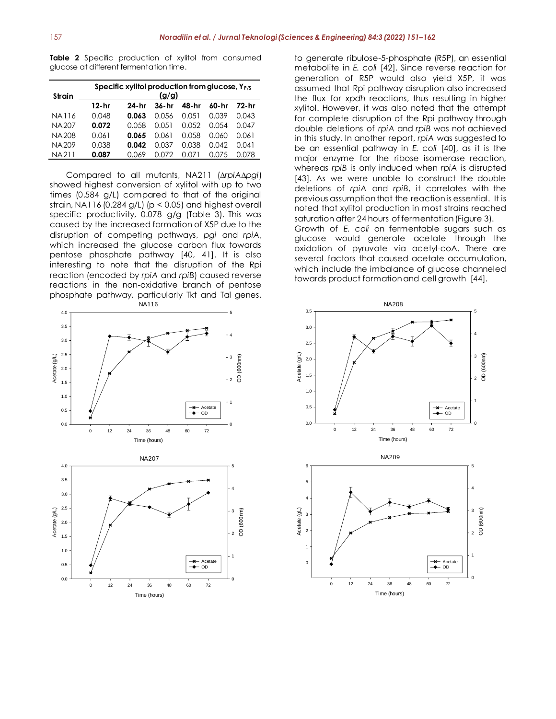**Table 2** Specific production of xylitol from consumed glucose at different fermentation time.

| <b>Strain</b> |        | Specific xylitol production from glucose, $Y_{P/S}$ | (g/g) |       |         |       |
|---------------|--------|-----------------------------------------------------|-------|-------|---------|-------|
|               | 12- hr | 24-hr                                               | 36-hr | 48-hr | 60-hr   | 72-hr |
| NA116         | 0.048  | 0.063                                               | O.O56 | 0.051 | 0.039   | 0.043 |
| NA 207        | 0.072  | 0.058                                               | 0.051 | 0.052 | 0.054   | 0.047 |
| NA 208        | 0.061  | 0.065                                               | 0.061 | 0.058 | 0.060   | 0.061 |
| NA 209        | 0.038  | 0.042                                               | 0.037 | 0.038 | 0.042   | 0.041 |
| NA211         | 0.087  | 0.069                                               | N N72 |       | (1.075) | O 078 |

Compared to all mutants, NA211 (*∆rpiA∆pgi*) showed highest conversion of xylitol with up to two times (0.584 g/L) compared to that of the original strain, NA116 (0.284 g/L) ( $p < 0.05$ ) and highest overall specific productivity, 0.078 g/g (Table 3). This was caused by the increased formation of X5P due to the disruption of competing pathways, *pgi* and *rpiA*, which increased the glucose carbon flux towards pentose phosphate pathway [40, 41]. It is also interesting to note that the disruption of the Rpi reaction (encoded by *rpiA* and *rpiB*) caused reverse reactions in the non-oxidative branch of pentose phosphate pathway, particularly Tkt and Tal genes, NA116



to generate ribulose-5-phosphate (R5P), an essential metabolite in *E. coli* [42]. Since reverse reaction for generation of R5P would also yield X5P, it was assumed that Rpi pathway disruption also increased the flux for *xpdh* reactions, thus resulting in higher xylitol. However, it was also noted that the attempt for complete disruption of the Rpi pathway through double deletions of *rpiA* and *rpiB* was not achieved in this study. In another report, *rpiA* was suggested to be an essential pathway in *E. coli* [40], as it is the major enzyme for the ribose isomerase reaction, whereas *rpiB* is only induced when *rpiA* is disrupted [43]. As we were unable to construct the double deletions of *rpiA* and *rpiB*, it correlates with the previous assumption that the reaction is essential. It is noted that xylitol production in most strains reached saturation after 24 hours of fermentation (Figure 3). Growth of *E. coli* on fermentable sugars such as glucose would generate acetate through the oxidation of pyruvate via acetyl-coA. There are several factors that caused acetate accumulation,

which include the imbalance of glucose channeled

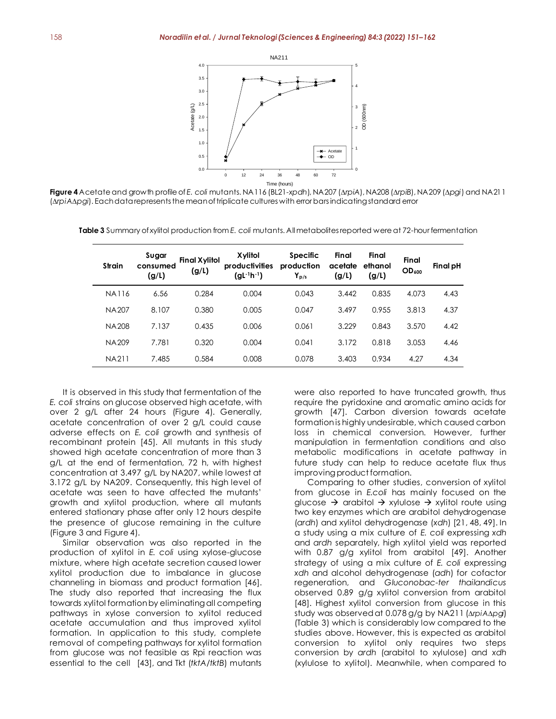

**Figure 4** Acetate and growth profile of *E. coli* mutants. NA116 (BL21-*xpdh*), NA207 (*∆rpiA*), NA208 (*∆rpiB*), NA209 (*∆pgi*) and NA211 (*∆rpiA∆pgi*). Each data represents the mean of triplicate cultures with error bars indicating standard error

| Strain       | Sugar<br>consumed<br>(g/L) | <b>Final Xylitol</b><br>(g/L) | Xylitol<br>productivities<br>$(gl^{-1}h^{-1})$ | <b>Specific</b><br>production<br>$Y_{D/S}$ | Final<br>acetate<br>(g/L) | Final<br>ethanol<br>(g/L) | Final<br><b>OD</b> <sub>600</sub> | Final pH |
|--------------|----------------------------|-------------------------------|------------------------------------------------|--------------------------------------------|---------------------------|---------------------------|-----------------------------------|----------|
| <b>NA116</b> | 6.56                       | 0.284                         | 0.004                                          | 0.043                                      | 3.442                     | 0.835                     | 4.073                             | 4.43     |
| <b>NA207</b> | 8.107                      | 0.380                         | 0.005                                          | 0.047                                      | 3.497                     | 0.955                     | 3.813                             | 4.37     |
| <b>NA208</b> | 7.137                      | 0.435                         | 0.006                                          | 0.061                                      | 3.229                     | 0.843                     | 3.570                             | 4.42     |
| NA 209       | 7.781                      | 0.320                         | 0.004                                          | 0.041                                      | 3.172                     | 0.818                     | 3.053                             | 4.46     |
| NA211        | 7.485                      | 0.584                         | 0.008                                          | 0.078                                      | 3.403                     | 0.934                     | 4.27                              | 4.34     |

**Table 3** Summary of xylitol production from *E. coli* mutants. All metabolites reported were at 72-hour fermentation

It is observed in this study that fermentation of the *E. coli* strains on glucose observed high acetate, with over 2 g/L after 24 hours (Figure 4). Generally, acetate concentration of over 2 g/L could cause adverse effects on *E. coli* growth and synthesis of recombinant protein [45]. All mutants in this study showed high acetate concentration of more than 3 g/L at the end of fermentation, 72 h, with highest concentration at 3.497 g/L by NA207, while lowest at 3.172 g/L by NA209. Consequently, this high level of acetate was seen to have affected the mutants' growth and xylitol production, where all mutants entered stationary phase after only 12 hours despite the presence of glucose remaining in the culture (Figure 3 and Figure 4).

Similar observation was also reported in the production of xylitol in *E. coli* using xylose-glucose mixture, where high acetate secretion caused lower xylitol production due to imbalance in glucose channeling in biomass and product formation [46]. The study also reported that increasing the flux towards xylitol formation by eliminating all competing pathways in xylose conversion to xylitol reduced acetate accumulation and thus improved xylitol formation. In application to this study, complete removal of competing pathways for xylitol formation from glucose was not feasible as Rpi reaction was essential to the cell [43], and Tkt (*tktA*/*tktB*) mutants

were also reported to have truncated growth, thus require the pyridoxine and aromatic amino acids for growth [47]. Carbon diversion towards acetate formation is highly undesirable, which caused carbon loss in chemical conversion. However, further manipulation in fermentation conditions and also metabolic modifications in acetate pathway in future study can help to reduce acetate flux thus improving product formation.

Comparing to other studies, conversion of xylitol from glucose in *E.coli* has mainly focused on the glucose  $\rightarrow$  arabitol  $\rightarrow$  xylulose  $\rightarrow$  xylitol route using two key enzymes which are arabitol dehydrogenase (*ardh*) and xylitol dehydrogenase (*xdh*) [21, 48, 49]. In a study using a mix culture of *E. coli* expressing *xdh* and *ardh* separately, high xylitol yield was reported with 0.87 g/g xylitol from arabitol [49]. Another strategy of using a mix culture of *E. coli* expressing *xdh* and alcohol dehydrogenase (*adh*) for cofactor regeneration, and *Gluconobac-ter thailandicus*  observed 0.89 g/g xylitol conversion from arabitol [48]. Highest xylitol conversion from glucose in this study was observed at 0.078 g/g by NA211 (∆*rpiA*∆*pgi*) (Table 3) which is considerably low compared to the studies above. However, this is expected as arabitol conversion to xylitol only requires two steps conversion by *ardh* (arabitol to xylulose) and *xdh* (xylulose to xylitol). Meanwhile, when compared to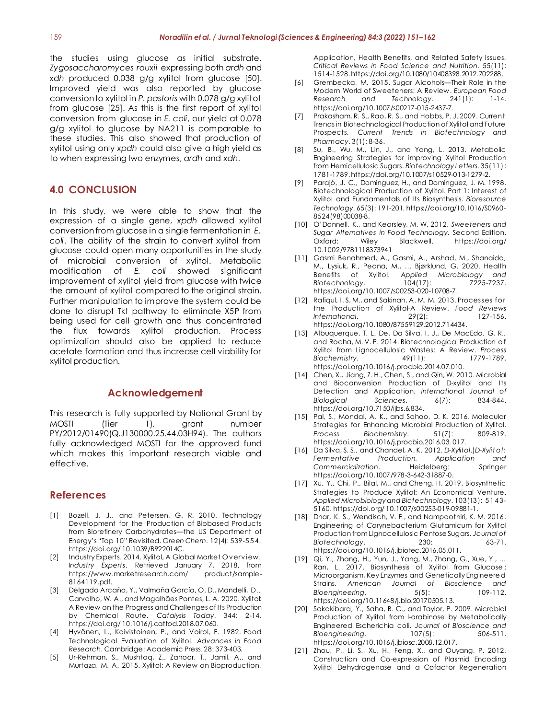the studies using glucose as initial substrate, *Zygosaccharomyces rouxii* expressing both *ardh* and *xdh* produced 0.038 g/g xylitol from glucose [50]. Improved yield was also reported by glucose conversion to xylitol in *P. pastoris* with 0.078 g/g xylitol from glucose [25]. As this is the first report of xylitol conversion from glucose in *E. coli*, our yield at 0.078 g/g xylitol to glucose by NA211 is comparable to these studies. This also showed that production of xylitol using only *xpdh* could also give a high yield as to when expressing two enzymes, *ardh* and *xdh*.

### **4.0 CONCLUSION**

In this study, we were able to show that the expression of a single gene, *xpdh* allowed xylitol conversion from glucose in a single fermentation in *E. coli*. The ability of the strain to convert xylitol from glucose could open many opportunities in the study of microbial conversion of xylitol. Metabolic modification of *E. coli* showed significant improvement of xylitol yield from glucose with twice the amount of xylitol compared to the original strain. Further manipulation to improve the system could be done to disrupt Tkt pathway to eliminate X5P from being used for cell growth and thus concentrated the flux towards xylitol production. Process optimization should also be applied to reduce acetate formation and thus increase cell viability for xylitol production.

#### **Acknowledgement**

This research is fully supported by National Grant by MOSTI (Tier 1), grant number PY/2012/01490(Q.J130000.25.44.03H94). The authors fully acknowledged MOSTI for the approved fund which makes this important research viable and effective.

### **References**

- [1] Bozell, J. J., and Petersen, G. R. 2010. Technology Development for the Production of Biobased Products from Biorefinery Carbohydrates—the US Department of Energy's "Top 10" Revisited. *Green Chem.* 12(4): 539-5 5 4. https://doi.org/ 10.1039/B922014C.
- [2] Industry Experts. 2014. Xylitol, A Global Market Ov erv iew. *Industry Experts*. Retrieved January 7, 2018, from https://www.marketresearch.com/ product/sample-8164119.pdf.
- [3] Delgado Arcaño, Y., Valmaña García, O. D., Mandelli, D., Carvalho, W. A., and Magalhães Pontes, L. A. 2020. Xylitol: A Review on the Progress and Challenges of Its Production by Chemical Route. *Catalysis Today*. 344: 2-14. https://doi.org/ 10.1016/j.cattod.2018.07.060.
- [4] Hyvönen, L., Koivistoinen, P., and Voirol, F. 1982. Food Technological Evaluation of Xylitol. *Advances in Food Research*. Cambridge: Academic Press. 28: 373-403.
- [5] Ur-Rehman, S., Mushtaq, Z., Zahoor, T., Jamil, A., and Murtaza, M. A. 2015. Xylitol: A Review on Bioproduction,

Application, Health Benefits, and Related Safety Issues. *Critical Reviews in Food Science and Nutrition*. 55(11): 1514-1528. https://doi.org/10.1080/10408398.2012.702288.

- [6] Grembecka, M. 2015. Sugar Alcohols—Their Role in the Modern World of Sweeteners: A Review. *European Food Research and Technology*. 241(1): 1-14. https://doi.org/10.1007/s00217-015-2437-7.
- [7] Prakasham, R. S., Rao, R. S., and Hobbs, P. J. 2009. Current Trends in Biotechnological Production of Xylitol and Future Prospects. *Current Trends in Biotechnology and Pharmacy*. 3(1): 8-36.
- [8] Su, B., Wu, M., Lin, J., and Yang, L. 2013. Metabolic Engineering Strategies for improving Xylitol Production from Hemicellulosic Sugars. *Biotechnology Letters*. 35(11 ): 1781-1789. https://doi.org/10.1007/s10529-013-1279-2.
- [9] Parajó, J. C., Domínguez, H., and Domínguez, J. M. 1998. Biotechnological Production of Xylitol. Part 1: Interest of Xylitol and Fundamentals of Its Biosynthesis. *Bioresource Technology*. 65(3): 191-201. https://doi.org/10.1016/S0960- 8524(98)00038-8.
- [10] O'Donnell, K., and Kearsley, M. W. 2012. *Sweeteners and Sugar Alternatives in Food Technology.* Second Edition. Oxford: Wiley Blackwell. https://doi.org/ 10.1002/9781118373941
- [11] Gasmi Benahmed, A., Gasmi, A., Arshad, M., Shanaida, M., Lysiuk, R., Peana, M., … Bjørklund, G. 2020. Health Benefits of Xylitol. *Applied Microbiology and Biotechnology.* https://doi.org/10.1007/s00253-020-10708-7.
- [12] Rafiqul, I.S.M., and Sakinah, A.M.M. 2013. Processes for the Production of Xylitol-A Review. *Food Reviews International*. 29(2): 127-156. https://doi.org/10.1080/87559129.2012.714434.
- [13] Albuquerque, T. L. De, Da Silva, I. J., De MacEdo, G. R., and Rocha, M. V. P. 2014. Biotechnological Production of Xylitol from Lignocellulosic Wastes: A Review. *Process Biochemistry.* 49(11): https://doi.org/10.1016/j.procbio.2014.07.010.
- [14] Chen, X., Jiang, Z. H., Chen, S., and Qin, W. 2010. Microbial and Bioconversion Production of D-xylitol and Its Detection and Application. *International Journal of Biological Sciences*. 6(7): 834-844. https://doi.org/10.7150/ijbs.6.834.
- [15] Pal, S., Mondal, A. K., and Sahoo, D. K. 2016. Molecular Strategies for Enhancing Microbial Production of Xylitol. *Process Biochemistry*. 51(7): 809-819. https://doi.org/10.1016/j.procbio.2016.03. 017.
- [16] Da Silva, S. S., and Chandel, A. K. 2012. *D-Xylitol*.)*D-Xylit o l: Fermentative Production, Application and*  **Commercialization.** Heidelberg: Springer https://doi.org/10.1007/978-3-642-31887-0.
- [17] Xu, Y., Chi, P., Bilal, M., and Cheng, H. 2019. Biosynthetic Strategies to Produce Xylitol: An Economical Venture. *Applied Microbiology and Biotechnology*. 103(13 ): 5 1 4 3- 5160. https://doi.org/ 10.1007/s00253-019-09881-1.
- [18] Dhar, K. S., Wendisch, V. F., and Nampoothiri, K. M. 2016. Engineering of Corynebacterium Glutamicum for Xylitol Production from Lignocellulosic Pentose Sugars. *Journal of Biotechnology*. 230: 63-71. https://doi.org/10.1016/j.jbiotec.2016.05.011.
- [19] Qi, Y., Zhang, H., Yun, J., Yang, M., Zhang, G., Xue, Y., … Ran, L. 2017. Biosynthesis of Xylitol from Glucose : Microorganism, Key Enzymes and Genetically Engineere d Strains. *American Journal of Bioscience and Bioengineering*. 5(5): 109-112. https://doi.org/10.11648/j.bio.20170505.13.
- [20] Sakakibara, Y., Saha, B. C., and Taylor, P. 2009. Microbial Production of Xylitol from l-arabinose by Metabolically Engineered Escherichia coli. *Journal of Bioscience and Bioengineering*. 107(5): 506-511. https://doi.org/10.1016/j.jbiosc.2008.12.017.
- [21] Zhou, P., Li, S., Xu, H., Feng, X., and Ouyang, P. 2012. Construction and Co-expression of Plasmid Encoding Xylitol Dehydrogenase and a Cofactor Regeneration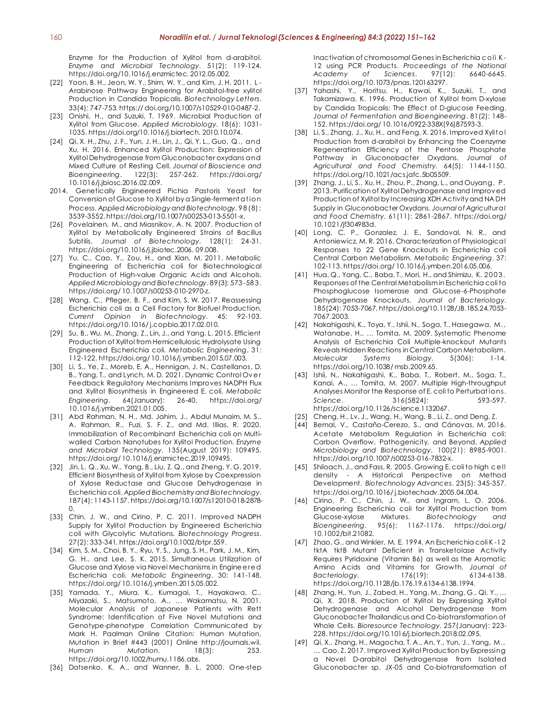Enzyme for the Production of Xylitol from d-arabitol. *Enzyme and Microbial Technology*. 51(2): 119-124. https://doi.org/10.1016/j.enzmictec. 2012.05.002.

- [22] Yoon, B. H., Jeon, W. Y., Shim, W. Y., and Kim, J. H. 2011. L-Arabinose Pathway Engineering for Arabitol-free xylitol Production in Candida Tropicalis. *Biotechnology Letters*. 33(4): 747-753. https:// doi.org/10.1007/s10529-010-0487-2.
- [23] Onishi, H., and Suzuki, T. 1969. Microbial Production of Xylitol from Glucose. *Applied Microbiology*. 18(6): 1031- 1035. https://doi.org/10.1016/j.biortech. 2010.10.074.
- [24] Qi, X. H., Zhu, J. F., Yun, J. H., Lin, J., Qi, Y. L., Guo, Q., and Xu, H. 2016. Enhanced Xylitol Production: Expression of Xylitol Dehydrogenase from Gluconobacter oxydans and Mixed Culture of Resting Cell. *Journal of Bioscience and Bioengineering*. 122(3): 257-262. https://doi.org/ 10.1016/j.jbiosc.2016.02.009.
- 2014. Genetically Engineered Pichia Pastoris Yeast for Conversion of Glucose to Xylitol by a Single-ferment at io n Process. *Applied Microbiology and Biotechnology*. 9 8 (8): 3539-3552. https://doi.org/10.1007/s00253-013-5501-x.
- [26] Povelainen, M., and Miasnikov, A. N. 2007. Production of Xylitol by Metabolically Engineered Strains of Bacillus Subtilis. *Journal of Biotechnology*. 128(1): 24-31. https://doi.org/10.1016/j.jbiotec.2006. 09.008.
- [27] Yu, C., Cao, Y., Zou, H., and Xian, M. 2011. Metabolic Engineering of Escherichia coli for Biotechnological Production of High-value Organic Acids and Alcohols. *Applied Microbiology and Biotechnology*. 89(3): 573 -58 3 . https://doi.org/ 10.1007/s00253-010-2970-z.
- [28] Wang, C., Pfleger, B. F., and Kim, S. W. 2017. Reassessing Escherichia coli as a Cell Factory for Biofuel Production. *Current Opinion in Biotechnology*. 45: 92-103. https://doi.org/10.1016/ j.copbio.2017.02.010.
- [29] Su, B., Wu, M., Zhang, Z., Lin, J., and Yang, L. 2015. Efficient Production of Xylitol from Hemicellulosic Hydrolysate Using Engineered Escherichia coli. *Metabolic Engineering*. 31: 112-122. https://doi.org/ 10.1016/j.ymben.2015.07.003.
- [30] Li, S., Ye, Z., Moreb, E. A., Hennigan, J. N., Castellanos, D. B., Yang, T., and Lynch, M. D. 2021. Dynamic Control Ov e r Feedback Regulatory Mechanisms Improves NADPH Flux and Xylitol Biosynthesis in Engineered E. coli. *Metabolic Engineering*. 64(January): 26-40. https://doi.org/ 10.1016/j.ymben.2021.01.005.
- [31] Abd Rahman, N. H., Md. Jahim, J., Abdul Munaim, M. S., A. Rahman, R., Fuzi, S. F. Z., and Md. Illias, R. 2020. Immobilization of Recombinant Escherichia coli on Multiwalled Carbon Nanotubes for Xylitol Production. *Enzyme and Microbial Technology*. 135(August 2019): 109495. https://doi.org/ 10.1016/j.enzmictec.2019.109495.
- [32] Jin, L. Q., Xu, W., Yang, B., Liu, Z. Q., and Zheng, Y. G. 2019. Efficient Biosynthesis of Xylitol from Xylose by Coexpression of Xylose Reductase and Glucose Dehydrogenase in Escherichia coli. *Applied Biochemistry and Biotechnology*. 187(4): 1143-1157. https://doi.org/10.1007/s12010-018-2878-  $\Omega$ .
- [33] Chin, J. W., and Cirino, P. C. 2011. Improved NADPH Supply for Xylitol Production by Engineered Escherichia coli with Glycolytic Mutations. *Biotechnology Progress*. 27(2): 333-341. https://doi.org/10.1002/btpr.559.
- [34] Kim, S. M., Choi, B. Y., Ryu, Y. S., Jung, S. H., Park, J. M., Kim, G. H., and Lee, S. K. 2015. Simultaneous Utilization of Glucose and Xylose via Novel Mechanisms in Engine e re d Escherichia coli. *Metabolic Engineering*. 30: 141-148. https://doi.org/ 10.1016/j.ymben.2015.05.002.
- [35] Yamada, Y., Miura, K., Kumagai, T., Hayakawa, C., Miyazaki, S., Matsumoto, A., … Wakamatsu, N. 2001. Molecular Analysis of Japanese Patients with Rett Syndrome: Identification of Five Novel Mutations and Genotype-phenotype Correlation Communicated by Mark H. Paalman Online Citation: Human Mutation, Mutation in Brief #443 (2001) Online http://journals.wil. *Human Mutation*. 18(3): 253. https://doi.org/10.1002/humu.1186.abs.
- [36] Datsenko, K. A., and Wanner, B. L. 2000. One-step

Inactivation of chromosomal Genes in Escherichia coli K-12 using PCR Products. *Proceedings of the National Academy of Sciences*. 97(12): 6640-6645. https://doi.org/10.1073/pnas.120163297.

- [37] Yahashi, Y., Horitsu, H., Kawai, K., Suzuki, T., and Takamizawa, K. 1996. Production of Xylitol from D-xylose by Candida Tropicalis: The Effect of D-glucose Feeding. *Journal of Fermentation and Bioengineering*. 81(2): 148- 152. https://doi.org/ 10.1016/0922-338X(96)87593-3.
- [38] Li, S., Zhang, J., Xu, H., and Feng, X. 2016. Improved Xylitol Production from d-arabitol by Enhancing the Coenzyme Regeneration Efficiency of the Pentose Phosphate Pathway in Gluconobacter Oxydans. *Journal of Agricultural and Food Chemistry*. 64(5): 1144-1150. https://doi.org/10.1021/acs.jafc.5b05509.
- [39] Zhang, J., Li, S., Xu, H., Zhou, P., Zhang, L., and Ouyang, P. 2013. Purification of Xylitol Dehydrogenase and Improv ed Production of Xylitol by Increasing XDH Activity and NA DH Supply in Gluconobacter Oxydans. *Journal of Agricultural and Food Chemistry*. 61(11): 2861-2867. https://doi.org/ 10.1021/jf304983d.
- [40] Long, C. P., Gonzalez, J. E., Sandoval, N. R., and Antoniewicz, M. R. 2016. Characterization of Physiological Responses to 22 Gene Knockouts in Escherichia coli Central Carbon Metabolism. *Metabolic Engineering*. 37: 102-113. https://doi.org/ 10.1016/j.ymben.2016.05.006.
- [41] Hua, Q., Yang, C., Baba, T., Mori, H., and Shimizu, K. 2003. Responses of the Central Metabolism in Escherichia coli to Phosphoglucose Isomerase and Glucose-6-Phosphate Dehydrogenase Knockouts. *Journal of Bacteriology*. 185(24): 7053-7067. https://doi.org/10.1128/JB.185.24.7053- 7067.2003.
- [42] Nakahigashi, K., Toya, Y., Ishii, N., Soga, T., Hasegawa, M., Watanabe, H., … Tomita, M. 2009. Systematic Phenome Analysis of Escherichia Coli Multiple-knockout Mutants Reveals Hidden Reactions in Central Carbon Metabolism. *Molecular Systems Biology*. 5(306): 1-14. https://doi.org/10.1038/ msb.2009.65.
- [43] Ishii, N., Nakahigashi, K., Baba, T., Robert, M., Soga, T., Kanai, A., … Tomita, M. 2007. Multiple High-throughput Analyses Monitor the Response of E. coli to Perturbat io ns. *Science*. 316(5824): 593-597. https://doi.org/10.1126/science.1132067.
- [25] Cheng, H., Lv, J., Wang, H., Wang, B., Li, Z., and Deng, Z.
- [44] Bernal, V., Castaño-Cerezo, S., and Cánovas, M. 2016. Acetate Metabolism Regulation in Escherichia coli: Carbon Overflow, Pathogenicity, and Beyond. *Applied Microbiology and Biotechnology*. 100(21): 8985-9001. https://doi.org/10.1007/s00253-016-7832-x.
- [45] Shiloach, J., and Fass, R. 2005. Growing E. coli to high cell density - A Historical Perspective on Method Development. *Biotechnology Advances*. 23(5): 345-357. https://doi.org/10.1016/ j.biotechadv.2005.04.004.
- [46] Cirino, P. C., Chin, J. W., and Ingram, L. O. 2006. Engineering Escherichia coli for Xylitol Production from Glucose-xylose Mixtures. *Biotechnology and Bioengineering*. 95(6): 1167-1176. https://doi.org/ 10.1002/bit.21082.
- [47] Zhao, G., and Winkler, M. E. 1994. An Escherichia coli K-12 tktA tktB Mutant Deficient in Transketolase Activity Requires Pyridoxine (Vitamin B6) as well as the Aromatic Amino Acids and Vitamins for Growth. *Journal of Bacteriology*. 176(19): 6134-6138. https://doi.org/10.1128/jb.176.19.6134-6138.1994.
- [48] Zhang, H., Yun, J., Zabed, H., Yang, M., Zhang, G., Qi, Y., … Qi, X. 2018. Production of Xylitol by Expressing Xylitol Dehydrogenase and Alcohol Dehydrogenase from Gluconobacter Thailandicus and Co-biotransformation of Whole Cells. *Bioresource Technology*. 257(January): 223- 228. https://doi.org/10.1016/j.biortech.2018.02.095.
- [49] Qi, X., Zhang, H., Magocha, T. A., An, Y., Yun, J., Yang, M., … Cao, Z. 2017. Improved Xylitol Production by Expressing a Novel D-arabitol Dehydrogenase from Isolated Gluconobacter sp. JX-05 and Co-biotransformation of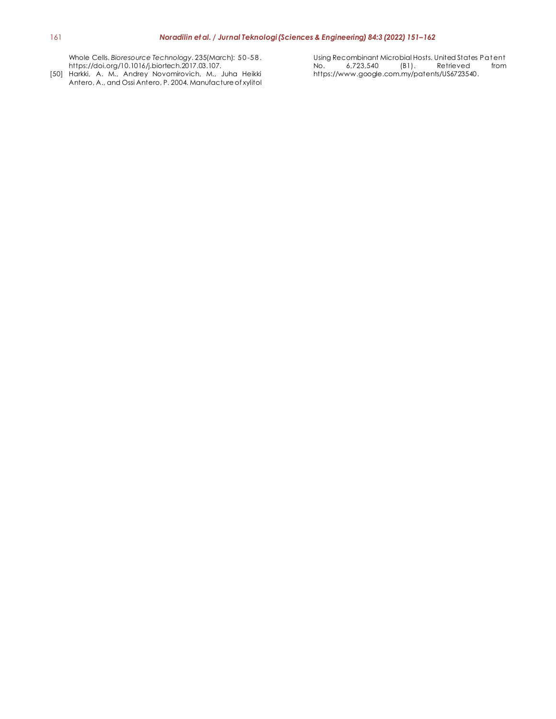Whole Cells. *Bioresource Technology*. 235(March): 5 0 -5 8 . https://doi.org/10.1016/j.biortech.2017.03.107.

[50] Harkki, A. M., Andrey Novomirovich, M., Juha Heikki Antero, A., and Ossi Antero, P. 2004. Manufacture of xylitol Using Recombinant Microbial Hosts. United States Patent<br>No. 6,723,540 (B1). Retrieved from 6,723,540 (B1). Retrieved https://www.google.com.my/patents/US6723540.